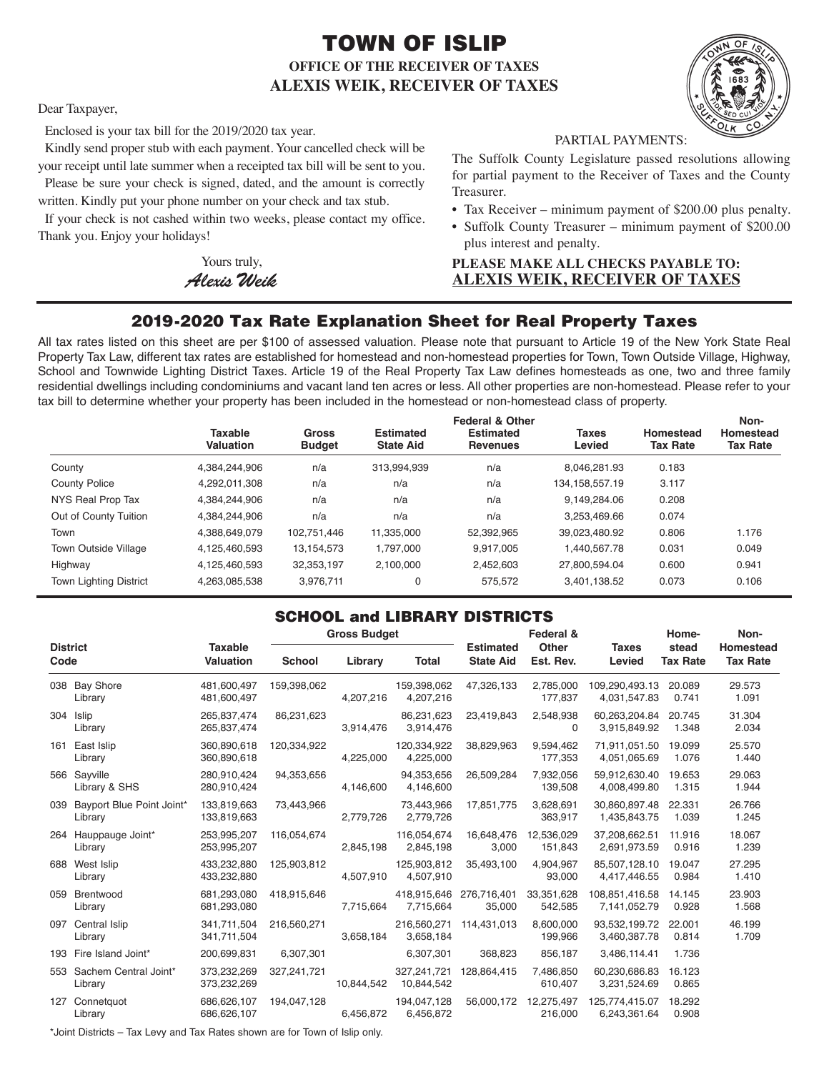# TOWN OF ISLIP **OFFICE OF THE RECEIVER OF TAXES ALEXIS WEIK, RECEIVER OF TAXES**



Dear Taxpayer,

Enclosed is your tax bill for the 2019/2020 tax year.

Kindly send proper stub with each payment. Your cancelled check will be your receipt until late summer when a receipted tax bill will be sent to you. Please be sure your check is signed, dated, and the amount is correctly

written. Kindly put your phone number on your check and tax stub.

If your check is not cashed within two weeks, please contact my office. Thank you. Enjoy your holidays!

> Yours truly, *AlexisWeik*

PARTIAL PAYMENTS:

The Suffolk County Legislature passed resolutions allowing for partial payment to the Receiver of Taxes and the County Treasurer.

- Tax Receiver minimum payment of \$200.00 plus penalty.
- Suffolk County Treasurer minimum payment of \$200.00 plus interest and penalty.

### **PLEASE MAKE ALL CHECKS PAYABLE TO: ALEXIS WEIK, RECEIVER OF TAXES**

## 2019-2020 Tax Rate Explanation Sheet for Real Property Taxes

All tax rates listed on this sheet are per \$100 of assessed valuation. Please note that pursuant to Article 19 of the New York State Real Property Tax Law, different tax rates are established for homestead and non-homestead properties for Town, Town Outside Village, Highway, School and Townwide Lighting District Taxes. Article 19 of the Real Property Tax Law defines homesteads as one, two and three family residential dwellings including condominiums and vacant land ten acres or less. All other properties are non-homestead. Please refer to your tax bill to determine whether your property has been included in the homestead or non-homestead class of property.

|                               | <b>Taxable</b><br>Valuation | Gross<br><b>Budget</b> | <b>Estimated</b><br><b>State Aid</b> | <b>Federal &amp; Other</b><br><b>Estimated</b><br><b>Revenues</b> | <b>Taxes</b><br>Levied | Homestead<br><b>Tax Rate</b> | Non-<br>Homestead<br><b>Tax Rate</b> |
|-------------------------------|-----------------------------|------------------------|--------------------------------------|-------------------------------------------------------------------|------------------------|------------------------------|--------------------------------------|
| County                        | 4,384,244,906               | n/a                    | 313,994,939                          | n/a                                                               | 8.046.281.93           | 0.183                        |                                      |
| <b>County Police</b>          | 4,292,011,308               | n/a                    | n/a                                  | n/a                                                               | 134, 158, 557. 19      | 3.117                        |                                      |
| NYS Real Prop Tax             | 4,384,244,906               | n/a                    | n/a                                  | n/a                                                               | 9.149.284.06           | 0.208                        |                                      |
| Out of County Tuition         | 4.384.244.906               | n/a                    | n/a                                  | n/a                                                               | 3.253.469.66           | 0.074                        |                                      |
| Town                          | 4,388,649,079               | 102,751,446            | 11,335,000                           | 52,392,965                                                        | 39,023,480.92          | 0.806                        | 1.176                                |
| Town Outside Village          | 4,125,460,593               | 13, 154, 573           | 1.797.000                            | 9.917.005                                                         | 1.440.567.78           | 0.031                        | 0.049                                |
| Highway                       | 4,125,460,593               | 32,353,197             | 2.100.000                            | 2.452.603                                                         | 27.800.594.04          | 0.600                        | 0.941                                |
| <b>Town Lighting District</b> | 4,263,085,538               | 3.976.711              | 0                                    | 575.572                                                           | 3.401.138.52           | 0.073                        | 0.106                                |

## SCHOOL and LIBRARY DISTRICTS

| <b>District</b><br>Code |                                          |                             | <b>Gross Budget</b> |            | Federal &                            |                                      |                                  | Home-                          | Non-                     |                              |
|-------------------------|------------------------------------------|-----------------------------|---------------------|------------|--------------------------------------|--------------------------------------|----------------------------------|--------------------------------|--------------------------|------------------------------|
|                         |                                          | <b>Taxable</b><br>Valuation | <b>School</b>       | Library    | <b>Total</b>                         | <b>Estimated</b><br><b>State Aid</b> | <b>Other</b><br>Est. Rev.        | <b>Taxes</b><br>Levied         | stead<br><b>Tax Rate</b> | Homestead<br><b>Tax Rate</b> |
|                         | 038 Bay Shore<br>Library                 | 481.600.497<br>481,600,497  | 159,398,062         | 4,207,216  | 159,398,062<br>4,207,216             | 47,326,133                           | 2,785,000<br>177,837             | 109,290,493.13<br>4,031,547.83 | 20.089<br>0.741          | 29.573<br>1.091              |
|                         | 304 Islip<br>Library                     | 265,837,474<br>265,837,474  | 86,231,623          | 3,914,476  | 86,231,623<br>3,914,476              | 23,419,843                           | 2,548,938<br>$\Omega$            | 60,263,204.84<br>3,915,849.92  | 20.745<br>1.348          | 31.304<br>2.034              |
|                         | 161 East Islip<br>Library                | 360.890.618<br>360,890,618  | 120,334,922         | 4.225.000  | 120,334,922<br>4,225,000             | 38,829,963                           | 9,594,462<br>177,353             | 71.911.051.50<br>4,051,065.69  | 19.099<br>1.076          | 25.570<br>1.440              |
|                         | 566 Sayville<br>Library & SHS            | 280.910.424<br>280,910,424  | 94,353,656          | 4,146,600  | 94.353.656<br>4,146,600              | 26,509,284                           | 7,932,056<br>139,508             | 59.912.630.40<br>4,008,499.80  | 19.653<br>1.315          | 29.063<br>1.944              |
|                         | 039 Bayport Blue Point Joint*<br>Library | 133,819,663<br>133,819,663  | 73,443,966          | 2,779,726  | 73,443,966<br>2,779,726              | 17,851,775                           | 3,628,691<br>363,917             | 30.860.897.48<br>1,435,843.75  | 22.331<br>1.039          | 26.766<br>1.245              |
|                         | 264 Hauppauge Joint*<br>Library          | 253.995.207<br>253,995,207  | 116,054,674         | 2,845,198  | 116.054.674<br>2,845,198             | 16.648.476<br>3,000                  | 12.536.029<br>151,843            | 37.208.662.51<br>2,691,973.59  | 11.916<br>0.916          | 18.067<br>1.239              |
|                         | 688 West Islip<br>Library                | 433,232,880<br>433,232,880  | 125,903,812         | 4,507,910  | 125,903,812<br>4,507,910             | 35,493,100                           | 4,904,967<br>93,000              | 85,507,128.10<br>4,417,446.55  | 19.047<br>0.984          | 27.295<br>1.410              |
|                         | 059 Brentwood<br>Library                 | 681,293,080<br>681,293,080  | 418,915,646         | 7,715,664  | 418.915.646 276.716.401<br>7,715,664 | 35,000                               | 33,351,628<br>542,585            | 108,851,416.58<br>7,141,052.79 | 14.145<br>0.928          | 23.903<br>1.568              |
|                         | 097 Central Islip<br>Library             | 341,711,504<br>341,711,504  | 216,560,271         | 3,658,184  | 3,658,184                            | 216,560,271 114,431,013              | 8,600,000<br>199,966             | 93,532,199.72<br>3,460,387.78  | 22.001<br>0.814          | 46.199<br>1.709              |
|                         | 193 Fire Island Joint*                   | 200,699,831                 | 6,307,301           |            | 6,307,301                            | 368,823                              | 856,187                          | 3,486,114.41                   | 1.736                    |                              |
|                         | 553 Sachem Central Joint*<br>Library     | 373,232,269<br>373,232,269  | 327,241,721         | 10,844,542 | 10,844,542                           | 327,241,721 128,864,415              | 7,486,850<br>610,407             | 60,230,686.83<br>3,231,524.69  | 16.123<br>0.865          |                              |
|                         | 127 Connetquot<br>Library                | 686,626,107<br>686,626,107  | 194,047,128         | 6,456,872  | 194,047,128<br>6,456,872             |                                      | 56,000,172 12,275,497<br>216,000 | 125,774,415.07<br>6,243,361.64 | 18.292<br>0.908          |                              |
|                         |                                          |                             |                     |            |                                      |                                      |                                  |                                |                          |                              |

\*Joint Districts – Tax Levy and Tax Rates shown are for Town of Islip only.